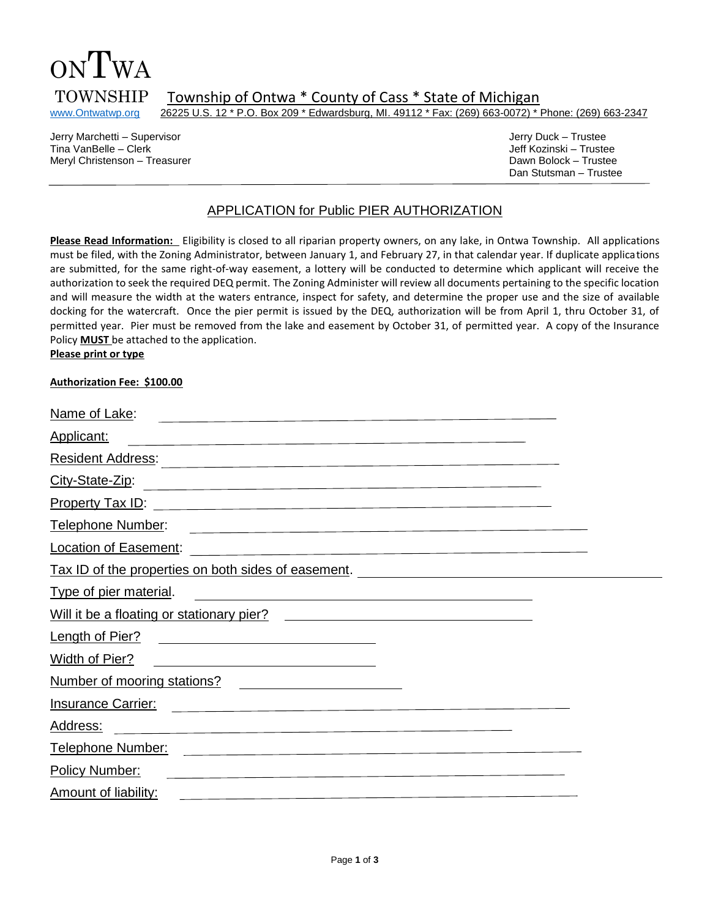

TOWNSHIP Township of Ontwa \* County of Cass \* State of Michigan<br>www.Ontwatwp.org 26225 U.S. 12 \* P.O. Box 209 \* Edwardsburg, MI. 49112 \* Fax: (269) 663-0072) \*

26225 U.S. 12 \* P.O. Box 209 \* Edwardsburg, MI. 49112 \* Fax: (269) 663-0072) \* Phone: (269) 663-2347

Jerry Marchetti – Supervisor Jerry Duck – Trustee Tina VanBelle – Clerk Jeff Kozinski – Trustee Meryl Christenson – Treasurer Dawn Bolock – Trustee

Dan Stutsman – Trustee

## APPLICATION for Public PIER AUTHORIZATION

**Please Read Information:** Eligibility is closed to all riparian property owners, on any lake, in Ontwa Township. All applications must be filed, with the Zoning Administrator, between January 1, and February 27, in that calendar year. If duplicate applications are submitted, for the same right-of-way easement, a lottery will be conducted to determine which applicant will receive the authorization to seek the required DEQ permit. The Zoning Administer will review all documents pertaining to the specific location and will measure the width at the waters entrance, inspect for safety, and determine the proper use and the size of available docking for the watercraft. Once the pier permit is issued by the DEQ, authorization will be from April 1, thru October 31, of permitted year. Pier must be removed from the lake and easement by October 31, of permitted year. A copy of the Insurance Policy **MUST** be attached to the application. **Please print or type**

#### **Authorization Fee: \$100.00**

| Name of Lake:                                                                                                                                                                                                                                      |  |
|----------------------------------------------------------------------------------------------------------------------------------------------------------------------------------------------------------------------------------------------------|--|
| <b>Applicant:</b><br><u> 1980 - Johann Barn, amerikansk politiker (d. 1980)</u>                                                                                                                                                                    |  |
| <b>Resident Address:</b><br>the contract of the contract of the contract of the contract of the contract of the contract of the                                                                                                                    |  |
| City-State-Zip:<br>the contract of the contract of the contract of the contract of the contract of the contract of                                                                                                                                 |  |
| <b>Property Tax ID:</b><br>the contract of the contract of the contract of the contract of the contract of the contract of the                                                                                                                     |  |
| Telephone Number:<br><u> 1989 - Johann Stein, Amerikaansk politiker († 1908)</u>                                                                                                                                                                   |  |
| Location of Easement:<br>the contract of the contract of the contract of the contract of the contract of the contract of                                                                                                                           |  |
| Tax ID of the properties on both sides of easement.                                                                                                                                                                                                |  |
| <b>Type of pier material.</b><br><u> 1989 - Johann Stoff, fransk politik (d. 1989)</u>                                                                                                                                                             |  |
| Will it be a floating or stationary pier?<br>and the control of the control of the control of the control of the control of the control of the control of the                                                                                      |  |
| Length of Pier?                                                                                                                                                                                                                                    |  |
| <b>Width of Pier?</b>                                                                                                                                                                                                                              |  |
| Number of mooring stations?                                                                                                                                                                                                                        |  |
| <b>Insurance Carrier:</b><br><u> 1980 - Jan James James Barnett, francuski politik (</u>                                                                                                                                                           |  |
| Address:<br><u> 1980 - Johann Stoff, Amerikaansk politiker (* 1918)</u>                                                                                                                                                                            |  |
| Telephone Number:<br>the company of the company of the company of the company of the company of the company of the company of the company of the company of the company of the company of the company of the company of the company of the company |  |
| <b>Policy Number:</b><br><u> 1980 - John Stein, marking and de Britain and de Britain and de Britain and de Britain and de Britain and de</u>                                                                                                      |  |
| Amount of liability:                                                                                                                                                                                                                               |  |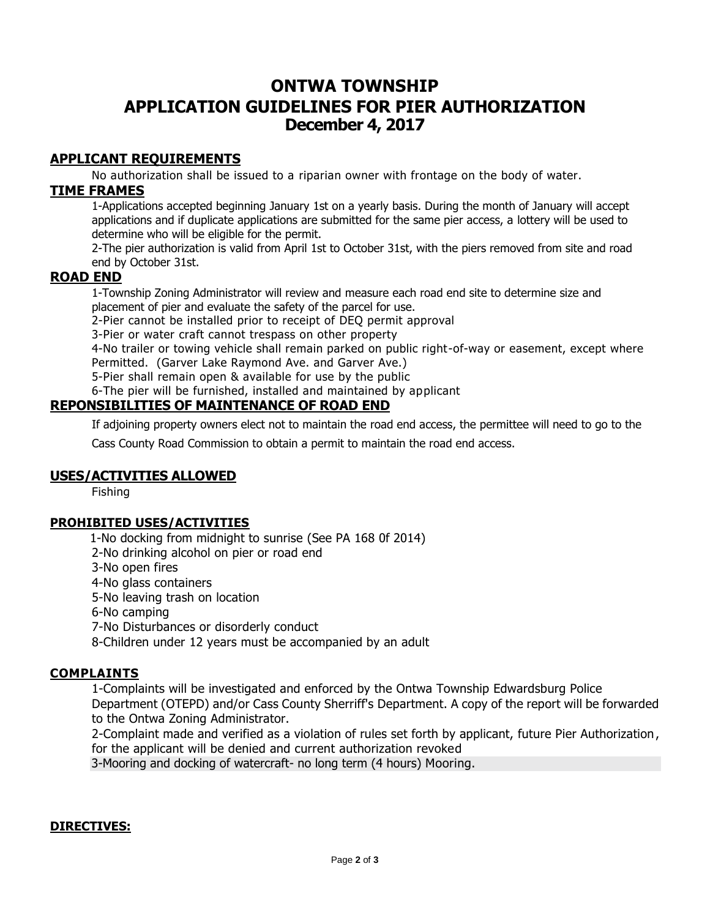# **ONTWA TOWNSHIP APPLICATION GUIDELINES FOR PIER AUTHORIZATION December 4, 2017**

## **APPLICANT REQUIREMENTS**

No authorization shall be issued to a riparian owner with frontage on the body of water.

## **TIME FRAMES**

1-Applications accepted beginning January 1st on a yearly basis. During the month of January will accept applications and if duplicate applications are submitted for the same pier access, a lottery will be used to determine who will be eligible for the permit.

2-The pier authorization is valid from April 1st to October 31st, with the piers removed from site and road end by October 31st.

## **ROAD END**

1-Township Zoning Administrator will review and measure each road end site to determine size and placement of pier and evaluate the safety of the parcel for use.

2-Pier cannot be installed prior to receipt of DEQ permit approval

3-Pier or water craft cannot trespass on other property

4-No trailer or towing vehicle shall remain parked on public right-of-way or easement, except where Permitted. (Garver Lake Raymond Ave. and Garver Ave.)

5-Pier shall remain open & available for use by the public

6-The pier will be furnished, installed and maintained by applicant

## **REPONSIBILITIES OF MAINTENANCE OF ROAD END**

If adjoining property owners elect not to maintain the road end access, the permittee will need to go to the

Cass County Road Commission to obtain a permit to maintain the road end access.

## **USES/ACTIVITIES ALLOWED**

Fishing

## **PROHIBITED USES/ACTIVITIES**

1-No docking from midnight to sunrise (See PA 168 0f 2014)

2-No drinking alcohol on pier or road end

3-No open fires

4-No glass containers

5-No leaving trash on location

6-No camping

7-No Disturbances or disorderly conduct

8-Children under 12 years must be accompanied by an adult

## **COMPLAINTS**

1-Complaints will be investigated and enforced by the Ontwa Township Edwardsburg Police Department (OTEPD) and/or Cass County Sherriff's Department. A copy of the report will be forwarded to the Ontwa Zoning Administrator.

2-Complaint made and verified as a violation of rules set forth by applicant, future Pier Authorization, for the applicant will be denied and current authorization revoked

3-Mooring and docking of watercraft- no long term (4 hours) Mooring.

## **DIRECTIVES:**